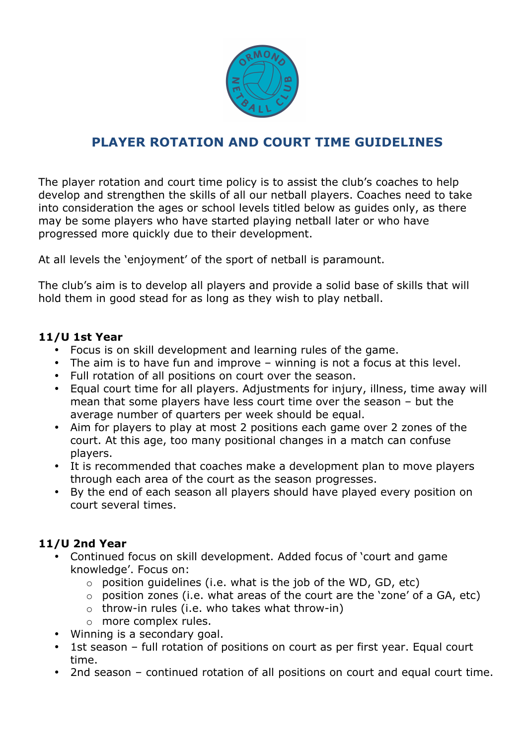

# **PLAYER ROTATION AND COURT TIME GUIDELINES**

The player rotation and court time policy is to assist the club's coaches to help develop and strengthen the skills of all our netball players. Coaches need to take into consideration the ages or school levels titled below as guides only, as there may be some players who have started playing netball later or who have progressed more quickly due to their development.

At all levels the 'enjoyment' of the sport of netball is paramount.

The club's aim is to develop all players and provide a solid base of skills that will hold them in good stead for as long as they wish to play netball.

#### **11/U 1st Year**

- Focus is on skill development and learning rules of the game.
- The aim is to have fun and improve winning is not a focus at this level.
- Full rotation of all positions on court over the season.
- Equal court time for all players. Adjustments for injury, illness, time away will mean that some players have less court time over the season – but the average number of quarters per week should be equal.
- Aim for players to play at most 2 positions each game over 2 zones of the court. At this age, too many positional changes in a match can confuse players.
- It is recommended that coaches make a development plan to move players through each area of the court as the season progresses.
- By the end of each season all players should have played every position on court several times.

## **11/U 2nd Year**

- Continued focus on skill development. Added focus of 'court and game knowledge'. Focus on:
	- $\circ$  position quidelines (i.e. what is the job of the WD, GD, etc)
	- o position zones (i.e. what areas of the court are the 'zone' of a GA, etc)
	- $\circ$  throw-in rules (i.e. who takes what throw-in)
	- o more complex rules.
- Winning is a secondary goal.
- 1st season full rotation of positions on court as per first year. Equal court time.
- 2nd season continued rotation of all positions on court and equal court time.